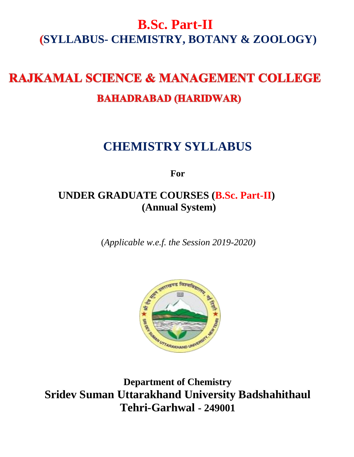# **B.Sc. Part-II SYLLABUS- CHEMISTRY, BOTANY & ZOOLOGY)**

# **RAJKAMAL SCIENCE & MANAGEMENT COLLEGE BAHADRABAD (HARIDWAR)**

# **CHEMISTRY SYLLABUS**

**For**

# **UNDER GRADUATE COURSES (B.Sc. Part-II) (Annual System)**

(*Applicable w.e.f. the Session 2019-2020)*



**Department of Chemistry Sridev Suman Uttarakhand University Badshahithaul Tehri-Garhwal - 249001**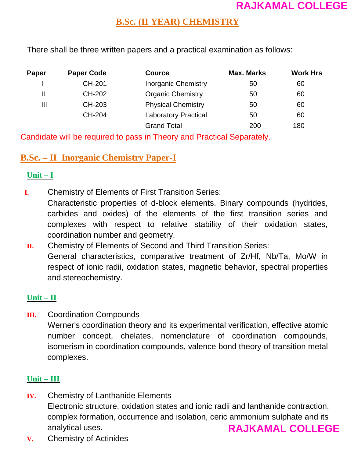## **B.Sc. (II YEAR) CHEMISTRY**

There shall be three written papers and a practical examination as follows:

| <b>Paper</b> | <b>Paper Code</b> | <b>Cource</b>               | <b>Max. Marks</b> | <b>Work Hrs</b> |
|--------------|-------------------|-----------------------------|-------------------|-----------------|
|              | CH-201            | <b>Inorganic Chemistry</b>  | 50                | 60              |
| Ш            | CH-202            | <b>Organic Chemistry</b>    | 50                | 60              |
| Ш            | CH-203            | <b>Physical Chemistry</b>   | 50                | 60              |
|              | CH-204            | <b>Laboratory Practical</b> | 50                | 60              |
|              |                   | <b>Grand Total</b>          | 200               | 180             |

Candidate will be required to pass in Theory and Practical Separately.

## **B.Sc. – II Inorganic Chemistry Paper-I**

#### **Unit – I**

**I.** Chemistry of Elements of First Transition Series:

Characteristic properties of d-block elements. Binary compounds (hydrides, carbides and oxides) of the elements of the first transition series and complexes with respect to relative stability of their oxidation states, coordination number and geometry.

**II.** Chemistry of Elements of Second and Third Transition Series: General characteristics, comparative treatment of Zr/Hf, Nb/Ta, Mo/W in respect of ionic radii, oxidation states, magnetic behavior, spectral properties and stereochemistry.

#### **Unit – II**

**III.** Coordination Compounds

Werner's coordination theory and its experimental verification, effective atomic number concept, chelates, nomenclature of coordination compounds, isomerism in coordination compounds, valence bond theory of transition metal complexes.

## **Unit – III**

- **IV.** Chemistry of Lanthanide Elements Electronic structure, oxidation states and ionic radii and lanthanide contraction, complex formation, occurrence and isolation, ceric ammonium sulphate and its analytical uses. **RAJKAMAL COLLEGE**
- **V.** Chemistry of Actinides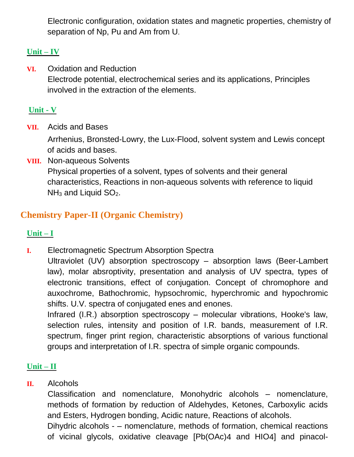Electronic configuration, oxidation states and magnetic properties, chemistry of separation of Np, Pu and Am from U.

### **Unit – IV**

**VI.** Oxidation and Reduction Electrode potential, electrochemical series and its applications, Principles involved in the extraction of the elements.

### **Unit - V**

**VII.** Acids and Bases

Arrhenius, Bronsted-Lowry, the Lux-Flood, solvent system and Lewis concept of acids and bases.

**VIII.** Non-aqueous Solvents Physical properties of a solvent, types of solvents and their general characteristics, Reactions in non-aqueous solvents with reference to liquid  $NH<sub>3</sub>$  and Liquid SO<sub>2</sub>.

# **Chemistry Paper-II (Organic Chemistry)**

### **Unit – I**

**I.** Electromagnetic Spectrum Absorption Spectra

Ultraviolet (UV) absorption spectroscopy – absorption laws (Beer-Lambert law), molar absroptivity, presentation and analysis of UV spectra, types of electronic transitions, effect of conjugation. Concept of chromophore and auxochrome, Bathochromic, hypsochromic, hyperchromic and hypochromic shifts. U.V. spectra of conjugated enes and enones.

Infrared (I.R.) absorption spectroscopy – molecular vibrations, Hooke's law, selection rules, intensity and position of I.R. bands, measurement of I.R. spectrum, finger print region, characteristic absorptions of various functional groups and interpretation of I.R. spectra of simple organic compounds.

#### **Unit – II**

#### **II.** Alcohols

Classification and nomenclature, Monohydric alcohols – nomenclature, methods of formation by reduction of Aldehydes, Ketones, Carboxylic acids and Esters, Hydrogen bonding, Acidic nature, Reactions of alcohols.

Dihydric alcohols - – nomenclature, methods of formation, chemical reactions of vicinal glycols, oxidative cleavage [Pb(OAc)4 and HIO4] and pinacol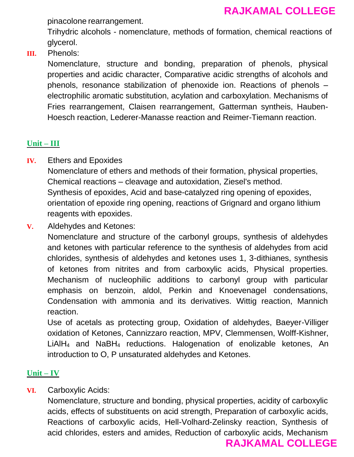pinacolone rearrangement.

Trihydric alcohols - nomenclature, methods of formation, chemical reactions of glycerol.

**III.** Phenols:

Nomenclature, structure and bonding, preparation of phenols, physical properties and acidic character, Comparative acidic strengths of alcohols and phenols, resonance stabilization of phenoxide ion. Reactions of phenols – electrophilic aromatic substitution, acylation and carboxylation. Mechanisms of Fries rearrangement, Claisen rearrangement, Gatterman syntheis, Hauben-Hoesch reaction, Lederer-Manasse reaction and Reimer-Tiemann reaction.

#### **Unit – III**

**IV.** Ethers and Epoxides

Nomenclature of ethers and methods of their formation, physical properties, Chemical reactions – cleavage and autoxidation, Ziesel's method. Synthesis of epoxides, Acid and base-catalyzed ring opening of epoxides, orientation of epoxide ring opening, reactions of Grignard and organo lithium reagents with epoxides.

**V.** Aldehydes and Ketones:

Nomenclature and structure of the carbonyl groups, synthesis of aldehydes and ketones with particular reference to the synthesis of aldehydes from acid chlorides, synthesis of aldehydes and ketones uses 1, 3-dithianes, synthesis of ketones from nitrites and from carboxylic acids, Physical properties. Mechanism of nucleophilic additions to carbonyl group with particular emphasis on benzoin, aldol, Perkin and Knoevenagel condensations, Condensation with ammonia and its derivatives. Wittig reaction, Mannich reaction.

Use of acetals as protecting group, Oxidation of aldehydes, Baeyer-Villiger oxidation of Ketones, Cannizzaro reaction, MPV, Clemmensen, Wolff-Kishner, LiAlH<sup>4</sup> and NaBH<sup>4</sup> reductions. Halogenation of enolizable ketones, An introduction to O, P unsaturated aldehydes and Ketones.

#### **Unit – IV**

**VI.** Carboxylic Acids:

Nomenclature, structure and bonding, physical properties, acidity of carboxylic acids, effects of substituents on acid strength, Preparation of carboxylic acids, Reactions of carboxylic acids, Hell-Volhard-Zelinsky reaction, Synthesis of acid chlorides, esters and amides, Reduction of carboxylic acids, Mechanism

#### **RAJKAMAL COLLEGE**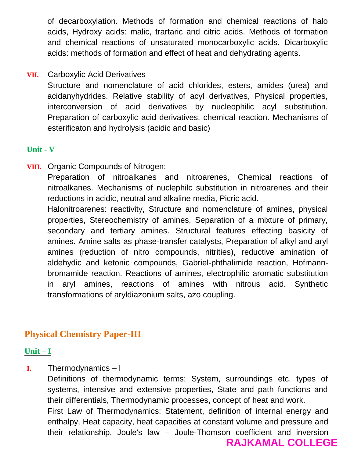of decarboxylation. Methods of formation and chemical reactions of halo acids, Hydroxy acids: malic, trartaric and citric acids. Methods of formation and chemical reactions of unsaturated monocarboxylic acids. Dicarboxylic acids: methods of formation and effect of heat and dehydrating agents.

#### **VII.** Carboxylic Acid Derivatives

Structure and nomenclature of acid chlorides, esters, amides (urea) and acidanyhydrides. Relative stability of acyl derivatives, Physical properties, interconversion of acid derivatives by nucleophilic acyl substitution. Preparation of carboxylic acid derivatives, chemical reaction. Mechanisms of esterificaton and hydrolysis (acidic and basic)

#### **Unit - V**

**VIII.** Organic Compounds of Nitrogen: Preparation of nitroalkanes and nitroarenes, Chemical reactions of nitroalkanes. Mechanisms of nuclephilc substitution in nitroarenes and their reductions in acidic, neutral and alkaline media, Picric acid. Halonitroarenes: reactivity, Structure and nomenclature of amines, physical properties, Stereochemistry of amines, Separation of a mixture of primary, secondary and tertiary amines. Structural features effecting basicity of amines. Amine salts as phase-transfer catalysts, Preparation of alkyl and aryl amines (reduction of nitro compounds, nitrities), reductive amination of aldehydic and ketonic compounds, Gabriel-phthalimide reaction, Hofmannbromamide reaction. Reactions of amines, electrophilic aromatic substitution in aryl amines, reactions of amines with nitrous acid. Synthetic transformations of aryldiazonium salts, azo coupling.

## **Physical Chemistry Paper-III**

#### **Unit – I**

**I.** Thermodynamics – I

Definitions of thermodynamic terms: System, surroundings etc. types of systems, intensive and extensive properties, State and path functions and their differentials, Thermodynamic processes, concept of heat and work. First Law of Thermodynamics: Statement, definition of internal energy and enthalpy, Heat capacity, heat capacities at constant volume and pressure and their relationship, Joule's law – Joule-Thomson coefficient and inversion **RAJKAMAL COLLEGE**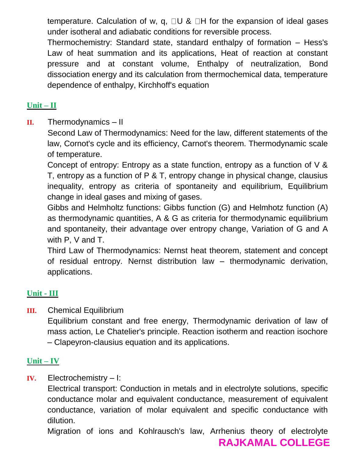temperature. Calculation of w, q,  $\Box U$  &  $\Box H$  for the expansion of ideal gases under isotheral and adiabatic conditions for reversible process.

Thermochemistry: Standard state, standard enthalpy of formation – Hess's Law of heat summation and its applications, Heat of reaction at constant pressure and at constant volume, Enthalpy of neutralization, Bond dissociation energy and its calculation from thermochemical data, temperature dependence of enthalpy, Kirchhoff's equation

## **Unit – II**

**II.** Thermodynamics – II

Second Law of Thermodynamics: Need for the law, different statements of the law, Cornot's cycle and its efficiency, Carnot's theorem. Thermodynamic scale of temperature.

Concept of entropy: Entropy as a state function, entropy as a function of V & T, entropy as a function of P & T, entropy change in physical change, clausius inequality, entropy as criteria of spontaneity and equilibrium, Equilibrium change in ideal gases and mixing of gases.

Gibbs and Helmholtz functions: Gibbs function (G) and Helmhotz function (A) as thermodynamic quantities, A & G as criteria for thermodynamic equilibrium and spontaneity, their advantage over entropy change, Variation of G and A with P, V and T.

Third Law of Thermodynamics: Nernst heat theorem, statement and concept of residual entropy. Nernst distribution law – thermodynamic derivation, applications.

#### **Unit - III**

**III.** Chemical Equilibrium

Equilibrium constant and free energy, Thermodynamic derivation of law of mass action, Le Chatelier's principle. Reaction isotherm and reaction isochore – Clapeyron-clausius equation and its applications.

#### **Unit – IV**

**IV.** Electrochemistry – I:

Electrical transport: Conduction in metals and in electrolyte solutions, specific conductance molar and equivalent conductance, measurement of equivalent conductance, variation of molar equivalent and specific conductance with dilution.

Migration of ions and Kohlrausch's law, Arrhenius theory of electrolyte

**RAJKAMAL COLLEGE**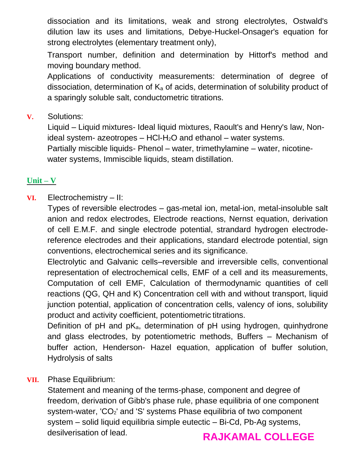dissociation and its limitations, weak and strong electrolytes, Ostwald's dilution law its uses and limitations, Debye-Huckel-Onsager's equation for strong electrolytes (elementary treatment only),

Transport number, definition and determination by Hittorf's method and moving boundary method.

Applications of conductivity measurements: determination of degree of dissociation, determination of  $K_a$  of acids, determination of solubility product of a sparingly soluble salt, conductometric titrations.

**V.** Solutions:

Liquid – Liquid mixtures- Ideal liquid mixtures, Raoult's and Henry's law, Nonideal system- azeotropes  $-$  HCI-H<sub>2</sub>O and ethanol  $-$  water systems.

Partially miscible liquids- Phenol – water, trimethylamine – water, nicotinewater systems, Immiscible liquids, steam distillation.

### **Unit – V**

#### **VI.** Electrochemistry – II:

Types of reversible electrodes – gas-metal ion, metal-ion, metal-insoluble salt anion and redox electrodes, Electrode reactions, Nernst equation, derivation of cell E.M.F. and single electrode potential, strandard hydrogen electrodereference electrodes and their applications, standard electrode potential, sign conventions, electrochemical series and its significance.

Electrolytic and Galvanic cells–reversible and irreversible cells, conventional representation of electrochemical cells, EMF of a cell and its measurements, Computation of cell EMF, Calculation of thermodynamic quantities of cell reactions (QG, QH and K) Concentration cell with and without transport, liquid junction potential, application of concentration cells, valency of ions, solubility product and activity coefficient, potentiometric titrations.

Definition of  $pH$  and  $pK_a$ , determination of  $pH$  using hydrogen, quinhydrone and glass electrodes, by potentiometric methods, Buffers – Mechanism of buffer action, Henderson- Hazel equation, application of buffer solution, Hydrolysis of salts

#### **VII.** Phase Equilibrium:

Statement and meaning of the terms-phase, component and degree of freedom, derivation of Gibb's phase rule, phase equilibria of one component system-water, 'CO<sub>2</sub>' and 'S' systems Phase equilibria of two component system – solid liquid equilibria simple eutectic – Bi-Cd, Pb-Ag systems, desilverisation of lead.

# **RAJKAMAL COLLEGE**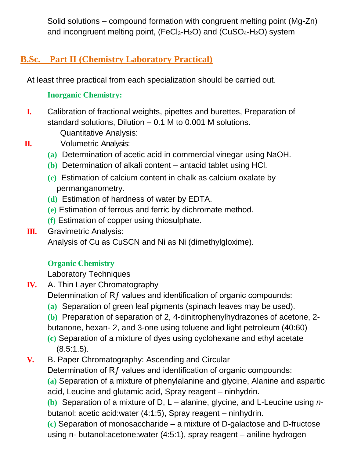Solid solutions – compound formation with congruent melting point (Mg-Zn) and incongruent melting point,  $(FeCl<sub>3</sub>-H<sub>2</sub>O)$  and  $(CuSO<sub>4</sub>-H<sub>2</sub>O)$  system

# **B.Sc. – Part II (Chemistry Laboratory Practical)**

At least three practical from each specialization should be carried out.

### **Inorganic Chemistry:**

**I.** Calibration of fractional weights, pipettes and burettes, Preparation of standard solutions, Dilution – 0.1 M to 0.001 M solutions.

Quantitative Analysis:

- 
- **II.** Volumetric Analysis:
	- **(a)** Determination of acetic acid in commercial vinegar using NaOH.
	- **(b)** Determination of alkali content antacid tablet using HCl.
	- **(c)** Estimation of calcium content in chalk as calcium oxalate by permanganometry.
	- **(d)** Estimation of hardness of water by EDTA.
	- **(e)** Estimation of ferrous and ferric by dichromate method.
	- **(f)** Estimation of copper using thiosulphate.
- **III.** Gravimetric Analysis: Analysis of Cu as CuSCN and Ni as Ni (dimethylgloxime).

## **Organic Chemistry**

Laboratory Techniques

- **IV.** A. Thin Layer Chromatography
	- Determination of Rf values and identification of organic compounds:
	- **(a)** Separation of green leaf pigments (spinach leaves may be used).
	- **(b)** Preparation of separation of 2, 4-dinitrophenylhydrazones of acetone, 2 butanone, hexan- 2, and 3-one using toluene and light petroleum (40:60)
	- **(c)** Separation of a mixture of dyes using cyclohexane and ethyl acetate (8.5:1.5).
- **V.** B. Paper Chromatography: Ascending and Circular

Determination of Rf values and identification of organic compounds:

**(a)** Separation of a mixture of phenylalanine and glycine, Alanine and aspartic acid, Leucine and glutamic acid, Spray reagent – ninhydrin.

**(b)** Separation of a mixture of D, L – alanine, glycine, and L-Leucine using *n*butanol: acetic acid:water (4:1:5), Spray reagent – ninhydrin.

**(c)** Separation of monosaccharide – a mixture of D-galactose and D-fructose using n- butanol:acetone:water (4:5:1), spray reagent – aniline hydrogen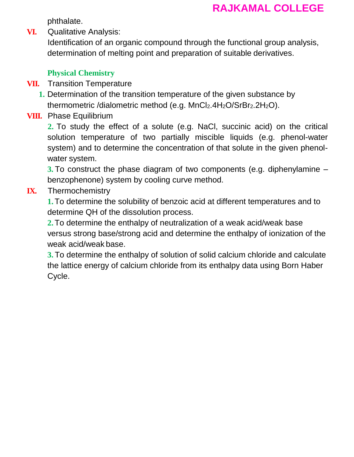phthalate.

**VI.** Qualitative Analysis:

Identification of an organic compound through the functional group analysis, determination of melting point and preparation of suitable derivatives.

### **Physical Chemistry**

- **VII.** Transition Temperature
	- **1.** Determination of the transition temperature of the given substance by thermometric /dialometric method (e.g. MnCl<sub>2</sub>.4H<sub>2</sub>O/SrBr<sub>2</sub>.2H<sub>2</sub>O).
- **VIII.** Phase Equilibrium

**2.** To study the effect of a solute (e.g. NaCl, succinic acid) on the critical solution temperature of two partially miscible liquids (e.g. phenol-water system) and to determine the concentration of that solute in the given phenolwater system.

**3.** To construct the phase diagram of two components (e.g. diphenylamine – benzophenone) system by cooling curve method.

### **IX.** Thermochemistry

**1.**To determine the solubility of benzoic acid at different temperatures and to determine QH of the dissolution process.

**2.**To determine the enthalpy of neutralization of a weak acid/weak base versus strong base/strong acid and determine the enthalpy of ionization of the weak acid/weak base.

**3.** To determine the enthalpy of solution of solid calcium chloride and calculate the lattice energy of calcium chloride from its enthalpy data using Born Haber Cycle.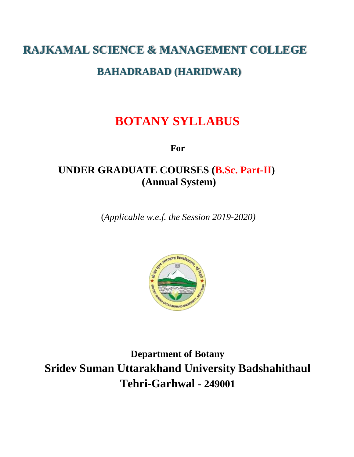# **RAJKAMAL SCIENCE & MANAGEMENT COLLEGE**

## **BAHADRABAD (HARIDWAR)**

# **BOTANY SYLLABUS**

**For**

# **UNDER GRADUATE COURSES (B.Sc. Part-II) (Annual System)**

(*Applicable w.e.f. the Session 2019-2020)*



**Department of Botany Sridev Suman Uttarakhand University Badshahithaul Tehri-Garhwal - 249001**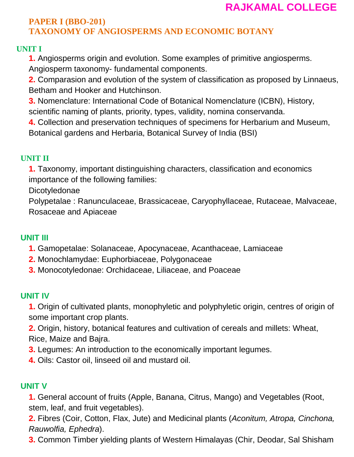#### **PAPER I (BBO-201) TAXONOMY OF ANGIOSPERMS AND ECONOMIC BOTANY**

#### **UNIT I**

**1.** Angiosperms origin and evolution. Some examples of primitive angiosperms.

Angiosperm taxonomy- fundamental components.

**2.** Comparasion and evolution of the system of classification as proposed by Linnaeus, Betham and Hooker and Hutchinson.

**3.** Nomenclature: International Code of Botanical Nomenclature (ICBN), History, scientific naming of plants, priority, types, validity, nomina conservanda.

**4.** Collection and preservation techniques of specimens for Herbarium and Museum, Botanical gardens and Herbaria, Botanical Survey of India (BSI)

#### **UNIT II**

**1.** Taxonomy, important distinguishing characters, classification and economics importance of the following families:

Dicotyledonae

Polypetalae : Ranunculaceae, Brassicaceae, Caryophyllaceae, Rutaceae, Malvaceae, Rosaceae and Apiaceae

#### **UNIT III**

- **1.** Gamopetalae: Solanaceae, Apocynaceae, Acanthaceae, Lamiaceae
- **2.** Monochlamydae: Euphorbiaceae, Polygonaceae
- **3.** Monocotyledonae: Orchidaceae, Liliaceae, and Poaceae

#### **UNIT IV**

**1.** Origin of cultivated plants, monophyletic and polyphyletic origin, centres of origin of some important crop plants.

**2.** Origin, history, botanical features and cultivation of cereals and millets: Wheat, Rice, Maize and Bajra.

- **3.** Legumes: An introduction to the economically important legumes.
- **4.** Oils: Castor oil, linseed oil and mustard oil.

#### **UNIT V**

**1.** General account of fruits (Apple, Banana, Citrus, Mango) and Vegetables (Root, stem, leaf, and fruit vegetables).

**2.** Fibres (Coir, Cotton, Flax, Jute) and Medicinal plants (*Aconitum, Atropa, Cinchona, Rauwolfia, Ephedra*).

**3.** Common Timber yielding plants of Western Himalayas (Chir, Deodar, Sal Shisham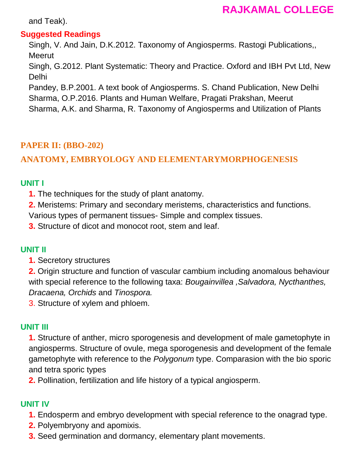and Teak).

#### **Suggested Readings**

Singh, V. And Jain, D.K.2012. Taxonomy of Angiosperms. Rastogi Publications,, **Meerut** 

Singh, G.2012. Plant Systematic: Theory and Practice. Oxford and IBH Pvt Ltd, New Delhi

Pandey, B.P.2001. A text book of Angiosperms. S. Chand Publication, New Delhi Sharma, O.P.2016. Plants and Human Welfare, Pragati Prakshan, Meerut

Sharma, A.K. and Sharma, R. Taxonomy of Angiosperms and Utilization of Plants

## **PAPER II: (BBO-202)**

### **ANATOMY, EMBRYOLOGY AND ELEMENTARYMORPHOGENESIS**

#### **UNIT I**

**1.** The techniques for the study of plant anatomy.

**2.** Meristems: Primary and secondary meristems, characteristics and functions. Various types of permanent tissues- Simple and complex tissues.

**3.** Structure of dicot and monocot root, stem and leaf.

#### **UNIT II**

**1.** Secretory structures

**2.** Origin structure and function of vascular cambium including anomalous behaviour with special reference to the following taxa: *Bougainvillea ,Salvadora, Nycthanthes, Dracaena, Orchids* and *Tinospora.*

3. Structure of xylem and phloem.

#### **UNIT III**

**1.** Structure of anther, micro sporogenesis and development of male gametophyte in angiosperms. Structure of ovule, mega sporogenesis and development of the female gametophyte with reference to the *Polygonum* type. Comparasion with the bio sporic and tetra sporic types

**2.** Pollination, fertilization and life history of a typical angiosperm.

#### **UNIT IV**

- **1.** Endosperm and embryo development with special reference to the onagrad type.
- **2.** Polyembryony and apomixis.
- **3.** Seed germination and dormancy, elementary plant movements.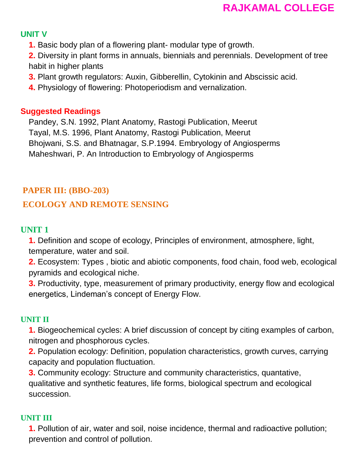#### **UNIT V**

**1.** Basic body plan of a flowering plant- modular type of growth.

**2.** Diversity in plant forms in annuals, biennials and perennials. Development of tree habit in higher plants

- **3.** Plant growth regulators: Auxin, Gibberellin, Cytokinin and Abscissic acid.
- **4.** Physiology of flowering: Photoperiodism and vernalization.

#### **Suggested Readings**

Pandey, S.N. 1992, Plant Anatomy, Rastogi Publication, Meerut Tayal, M.S. 1996, Plant Anatomy, Rastogi Publication, Meerut Bhojwani, S.S. and Bhatnagar, S.P.1994. Embryology of Angiosperms Maheshwari, P. An Introduction to Embryology of Angiosperms

#### **PAPER III: (BBO-203)**

#### **ECOLOGY AND REMOTE SENSING**

#### **UNIT 1**

**1.** Definition and scope of ecology, Principles of environment, atmosphere, light, temperature, water and soil.

**2.** Ecosystem: Types , biotic and abiotic components, food chain, food web, ecological pyramids and ecological niche.

**3.** Productivity, type, measurement of primary productivity, energy flow and ecological energetics, Lindeman's concept of Energy Flow.

#### **UNIT II**

**1.** Biogeochemical cycles: A brief discussion of concept by citing examples of carbon, nitrogen and phosphorous cycles.

**2.** Population ecology: Definition, population characteristics, growth curves, carrying capacity and population fluctuation.

**3.** Community ecology: Structure and community characteristics, quantative, qualitative and synthetic features, life forms, biological spectrum and ecological succession.

#### **UNIT III**

**1.** Pollution of air, water and soil, noise incidence, thermal and radioactive pollution; prevention and control of pollution.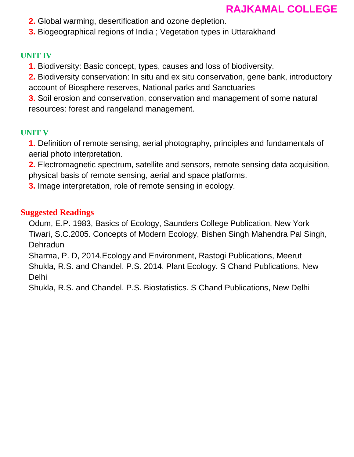- **2.** Global warming, desertification and ozone depletion.
- **3.** Biogeographical regions of India ; Vegetation types in Uttarakhand

#### **UNIT IV**

- **1.** Biodiversity: Basic concept, types, causes and loss of biodiversity.
- **2.** Biodiversity conservation: In situ and ex situ conservation, gene bank, introductory account of Biosphere reserves, National parks and Sanctuaries

**3.** Soil erosion and conservation, conservation and management of some natural resources: forest and rangeland management.

### **UNIT V**

**1.** Definition of remote sensing, aerial photography, principles and fundamentals of aerial photo interpretation.

**2.** Electromagnetic spectrum, satellite and sensors, remote sensing data acquisition, physical basis of remote sensing, aerial and space platforms.

**3.** Image interpretation, role of remote sensing in ecology.

#### **Suggested Readings**

Odum, E.P. 1983, Basics of Ecology, Saunders College Publication, New York Tiwari, S.C.2005. Concepts of Modern Ecology, Bishen Singh Mahendra Pal Singh, Dehradun

Sharma, P. D, 2014.Ecology and Environment, Rastogi Publications, Meerut Shukla, R.S. and Chandel. P.S. 2014. Plant Ecology. S Chand Publications, New Delhi

Shukla, R.S. and Chandel. P.S. Biostatistics. S Chand Publications, New Delhi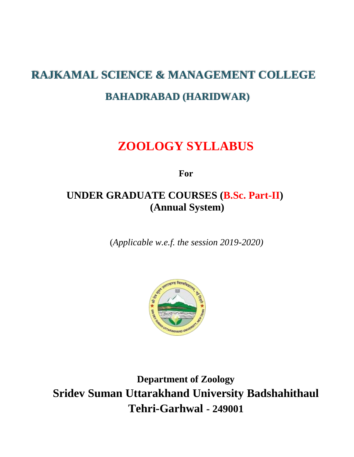# **RAJKAMAL SCIENCE & MANAGEMENT COLLEGE BAHADRABAD (HARIDWAR)**

# **ZOOLOGY SYLLABUS**

**For**

# **UNDER GRADUATE COURSES (B.Sc. Part-II) (Annual System)**

(*Applicable w.e.f. the session 2019-2020)*



**Department of Zoology Sridev Suman Uttarakhand University Badshahithaul Tehri-Garhwal - 249001**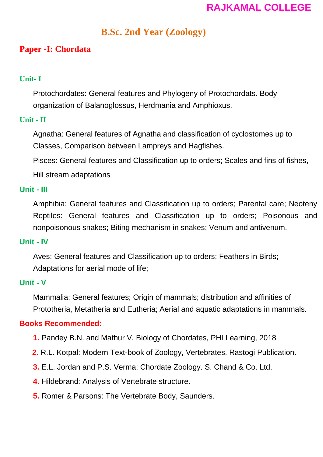# **B.Sc. 2nd Year (Zoology)**

## **Paper -I: Chordata**

#### **Unit- I**

Protochordates: General features and Phylogeny of Protochordats. Body organization of Balanoglossus, Herdmania and Amphioxus.

#### **Unit - II**

Agnatha: General features of Agnatha and classification of cyclostomes up to Classes, Comparison between Lampreys and Hagfishes.

Pisces: General features and Classification up to orders; Scales and fins of fishes,

Hill stream adaptations

#### **Unit - III**

Amphibia: General features and Classification up to orders; Parental care; Neoteny Reptiles: General features and Classification up to orders; Poisonous and nonpoisonous snakes; Biting mechanism in snakes; Venum and antivenum.

#### **Unit - IV**

Aves: General features and Classification up to orders; Feathers in Birds; Adaptations for aerial mode of life;

#### **Unit - V**

Mammalia: General features; Origin of mammals; distribution and affinities of Prototheria, Metatheria and Eutheria; Aerial and aquatic adaptations in mammals.

#### **Books Recommended:**

- **1.** Pandey B.N. and Mathur V. Biology of Chordates, PHI Learning, 2018
- **2.** R.L. Kotpal: Modern Text-book of Zoology, Vertebrates. Rastogi Publication.
- **3.** E.L. Jordan and P.S. Verma: Chordate Zoology. S. Chand & Co. Ltd.
- **4.** Hildebrand: Analysis of Vertebrate structure.
- **5.** Romer & Parsons: The Vertebrate Body, Saunders.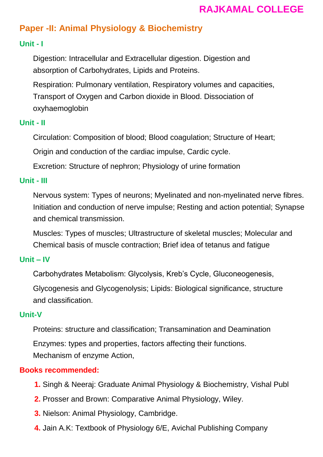# **Paper -II: Animal Physiology & Biochemistry**

#### **Unit - I**

Digestion: Intracellular and Extracellular digestion. Digestion and absorption of Carbohydrates, Lipids and Proteins.

Respiration: Pulmonary ventilation, Respiratory volumes and capacities, Transport of Oxygen and Carbon dioxide in Blood. Dissociation of oxyhaemoglobin

### **Unit - II**

Circulation: Composition of blood; Blood coagulation; Structure of Heart;

Origin and conduction of the cardiac impulse, Cardic cycle.

Excretion: Structure of nephron; Physiology of urine formation

#### **Unit - III**

Nervous system: Types of neurons; Myelinated and non-myelinated nerve fibres. Initiation and conduction of nerve impulse; Resting and action potential; Synapse and chemical transmission.

Muscles: Types of muscles; Ultrastructure of skeletal muscles; Molecular and Chemical basis of muscle contraction; Brief idea of tetanus and fatigue

#### **Unit – IV**

Carbohydrates Metabolism: Glycolysis, Kreb's Cycle, Gluconeogenesis,

Glycogenesis and Glycogenolysis; Lipids: Biological significance, structure and classification.

#### **Unit-V**

Proteins: structure and classification; Transamination and Deamination Enzymes: types and properties, factors affecting their functions. Mechanism of enzyme Action,

#### **Books recommended:**

- **1.** Singh & Neeraj: Graduate Animal Physiology & Biochemistry, Vishal Publ
- **2.** Prosser and Brown: Comparative Animal Physiology, Wiley.
- **3.** Nielson: Animal Physiology, Cambridge.
- **4.** Jain A.K: Textbook of Physiology 6/E, Avichal Publishing Company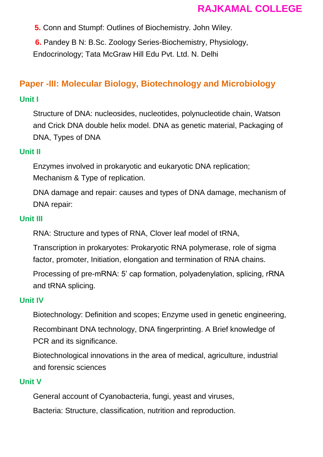**5.** Conn and Stumpf: Outlines of Biochemistry. John Wiley.

**6.** Pandey B N: B.Sc. Zoology Series-Biochemistry, Physiology, Endocrinology; Tata McGraw Hill Edu Pvt. Ltd. N. Delhi

# **Paper -III: Molecular Biology, Biotechnology and Microbiology**

#### **Unit I**

Structure of DNA: nucleosides, nucleotides, polynucleotide chain, Watson and Crick DNA double helix model. DNA as genetic material, Packaging of DNA, Types of DNA

#### **Unit II**

Enzymes involved in prokaryotic and eukaryotic DNA replication; Mechanism & Type of replication.

DNA damage and repair: causes and types of DNA damage, mechanism of DNA repair:

#### **Unit III**

RNA: Structure and types of RNA, Clover leaf model of tRNA,

Transcription in prokaryotes: Prokaryotic RNA polymerase, role of sigma factor, promoter, Initiation, elongation and termination of RNA chains.

Processing of pre-mRNA: 5' cap formation, polyadenylation, splicing, rRNA and tRNA splicing.

#### **Unit IV**

Biotechnology: Definition and scopes; Enzyme used in genetic engineering,

Recombinant DNA technology, DNA fingerprinting. A Brief knowledge of PCR and its significance.

Biotechnological innovations in the area of medical, agriculture, industrial and forensic sciences

#### **Unit V**

General account of Cyanobacteria, fungi, yeast and viruses,

Bacteria: Structure, classification, nutrition and reproduction.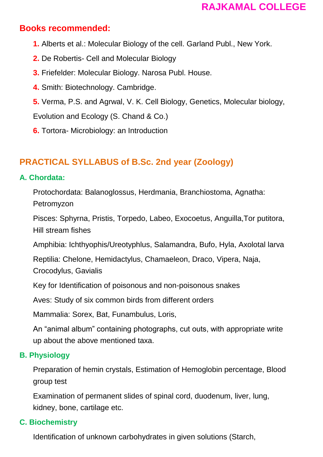### **Books recommended:**

- **1.** Alberts et al.: Molecular Biology of the cell. Garland Publ., New York.
- **2.** De Robertis- Cell and Molecular Biology
- **3.** Friefelder: Molecular Biology. Narosa Publ. House.
- **4.** Smith: Biotechnology. Cambridge.
- **5.** Verma, P.S. and Agrwal, V. K. Cell Biology, Genetics, Molecular biology,

Evolution and Ecology (S. Chand & Co.)

**6.** Tortora- Microbiology: an Introduction

# **PRACTICAL SYLLABUS of B.Sc. 2nd year (Zoology)**

#### **A. Chordata:**

Protochordata: Balanoglossus, Herdmania, Branchiostoma, Agnatha: Petromyzon

Pisces: Sphyrna, Pristis, Torpedo, Labeo, Exocoetus, Anguilla,Tor putitora, Hill stream fishes

Amphibia: Ichthyophis/Ureotyphlus, Salamandra, Bufo, Hyla, Axolotal larva

Reptilia: Chelone, Hemidactylus, Chamaeleon, Draco, Vipera, Naja,

Crocodylus, Gavialis

Key for Identification of poisonous and non-poisonous snakes

Aves: Study of six common birds from different orders

Mammalia: Sorex, Bat, Funambulus, Loris,

An "animal album" containing photographs, cut outs, with appropriate write up about the above mentioned taxa.

### **B. Physiology**

Preparation of hemin crystals, Estimation of Hemoglobin percentage, Blood group test

Examination of permanent slides of spinal cord, duodenum, liver, lung, kidney, bone, cartilage etc.

### **C. Biochemistry**

Identification of unknown carbohydrates in given solutions (Starch,